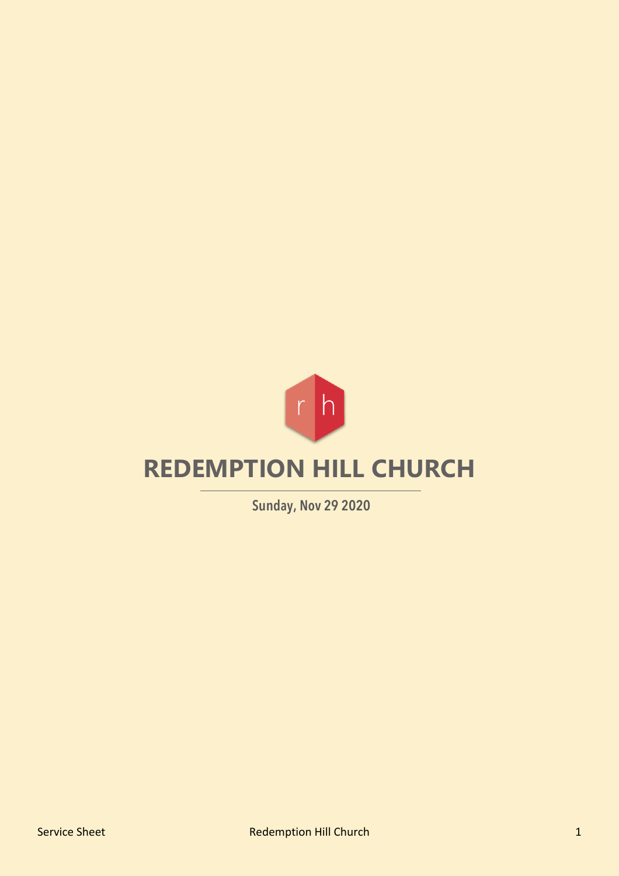

**Sunday, Nov 29 2020**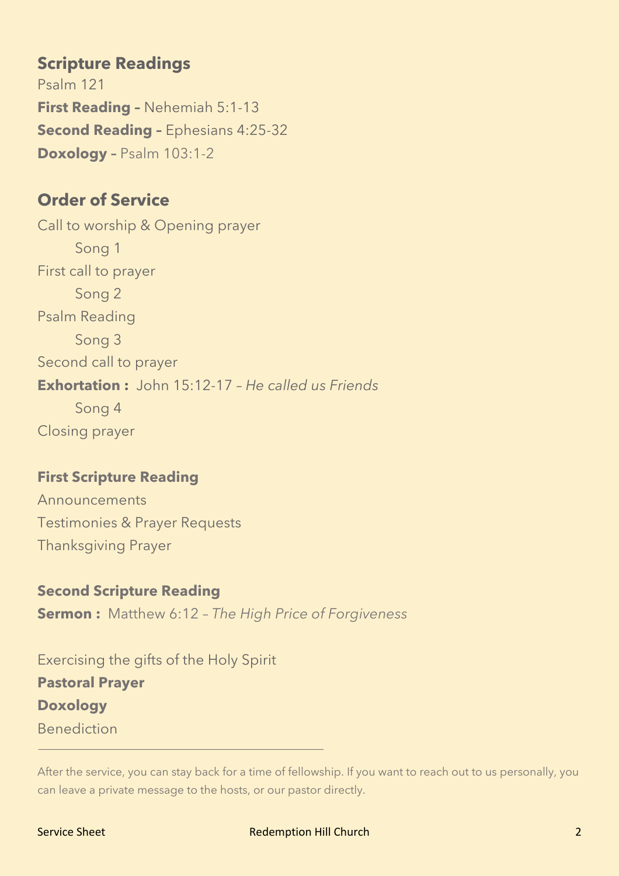# **Scripture Readings**

Psalm 121 **First Reading –** Nehemiah 5:1-13 **Second Reading –** Ephesians 4:25-32 **Doxology –** Psalm 103:1-2

# **Order of Service**

Call to worship & Opening prayer Song 1 First call to prayer Song 2 Psalm Reading Song 3 Second call to prayer **Exhortation :** John 15:12-17 – *He called us Friends* Song 4 Closing prayer

### **First Scripture Reading**

Announcements Testimonies & Prayer Requests Thanksgiving Prayer

**Second Scripture Reading Sermon :** Matthew 6:12 – *The High Price of Forgiveness*

Exercising the gifts of the Holy Spirit **Pastoral Prayer Doxology** Benediction

After the service, you can stay back for a time of fellowship. If you want to reach out to us personally, you can leave a private message to the hosts, or our pastor directly.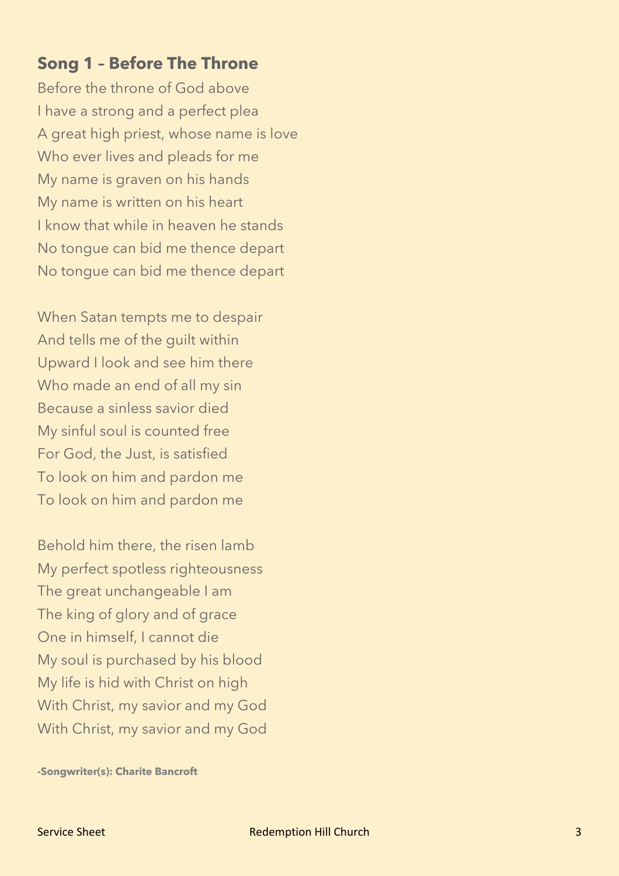### **Song 1 – Before The Throne**

Before the throne of God above I have a strong and a perfect plea A great high priest, whose name is love Who ever lives and pleads for me My name is graven on his hands My name is written on his heart I know that while in heaven he stands No tongue can bid me thence depart No tongue can bid me thence depart

When Satan tempts me to despair And tells me of the guilt within Upward I look and see him there Who made an end of all my sin Because a sinless savior died My sinful soul is counted free For God, the Just, is satisfied To look on him and pardon me To look on him and pardon me

Behold him there, the risen lamb My perfect spotless righteousness The great unchangeable I am The king of glory and of grace One in himself, I cannot die My soul is purchased by his blood My life is hid with Christ on high With Christ, my savior and my God With Christ, my savior and my God

#### **-Songwriter(s): Charite Bancroft**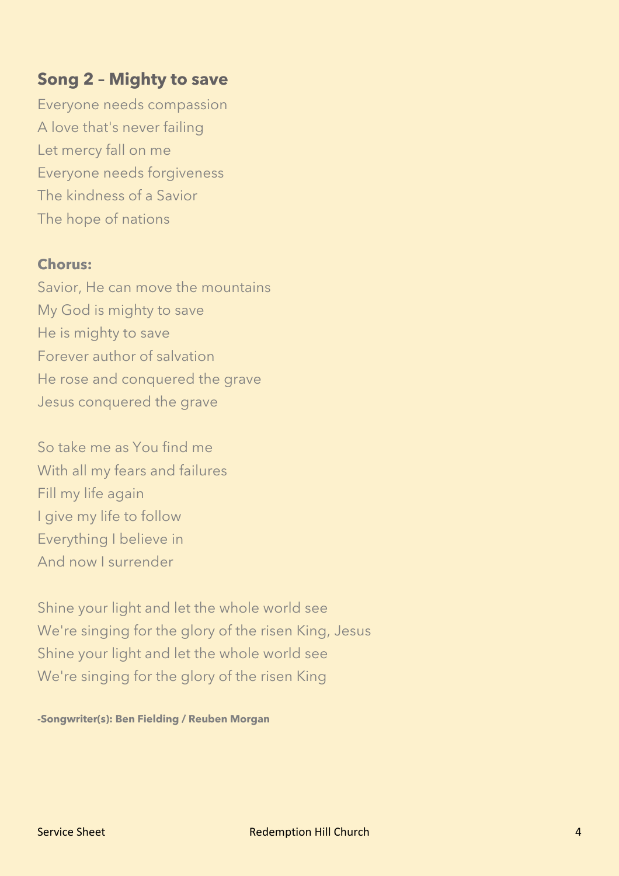# **Song 2 – Mighty to save**

Everyone needs compassion A love that's never failing Let mercy fall on me Everyone needs forgiveness The kindness of a Savior The hope of nations

#### **Chorus:**

Savior, He can move the mountains My God is mighty to save He is mighty to save Forever author of salvation He rose and conquered the grave Jesus conquered the grave

So take me as You find me With all my fears and failures Fill my life again I give my life to follow Everything I believe in And now I surrender

Shine your light and let the whole world see We're singing for the glory of the risen King, Jesus Shine your light and let the whole world see We're singing for the glory of the risen King

**-Songwriter(s): Ben Fielding / Reuben Morgan**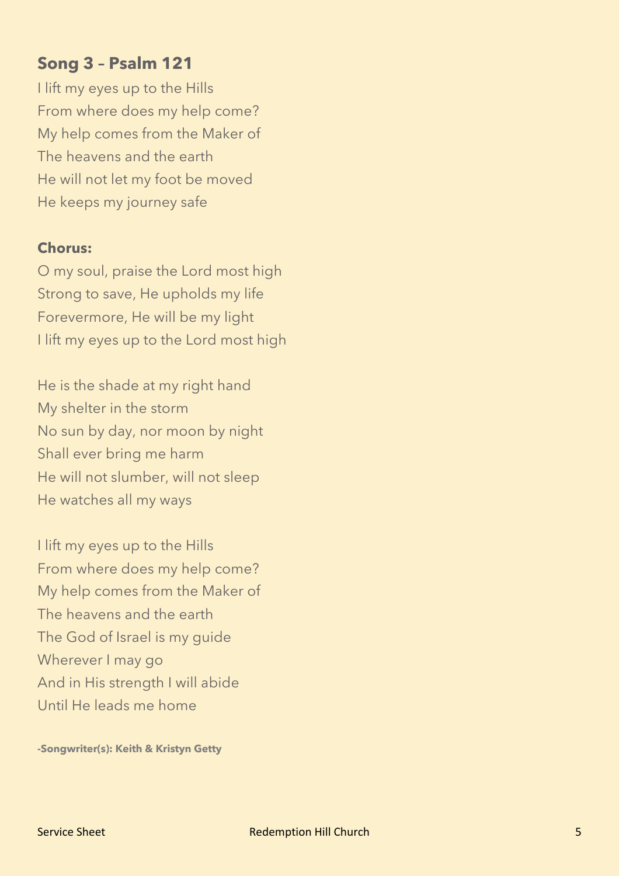# **Song 3 – Psalm 121**

I lift my eyes up to the Hills From where does my help come? My help comes from the Maker of The heavens and the earth He will not let my foot be moved He keeps my journey safe

#### **Chorus:**

O my soul, praise the Lord most high Strong to save, He upholds my life Forevermore, He will be my light I lift my eyes up to the Lord most high

He is the shade at my right hand My shelter in the storm No sun by day, nor moon by night Shall ever bring me harm He will not slumber, will not sleep He watches all my ways

I lift my eyes up to the Hills From where does my help come? My help comes from the Maker of The heavens and the earth The God of Israel is my guide Wherever I may go And in His strength I will abide Until He leads me home

**-Songwriter(s): Keith & Kristyn Getty**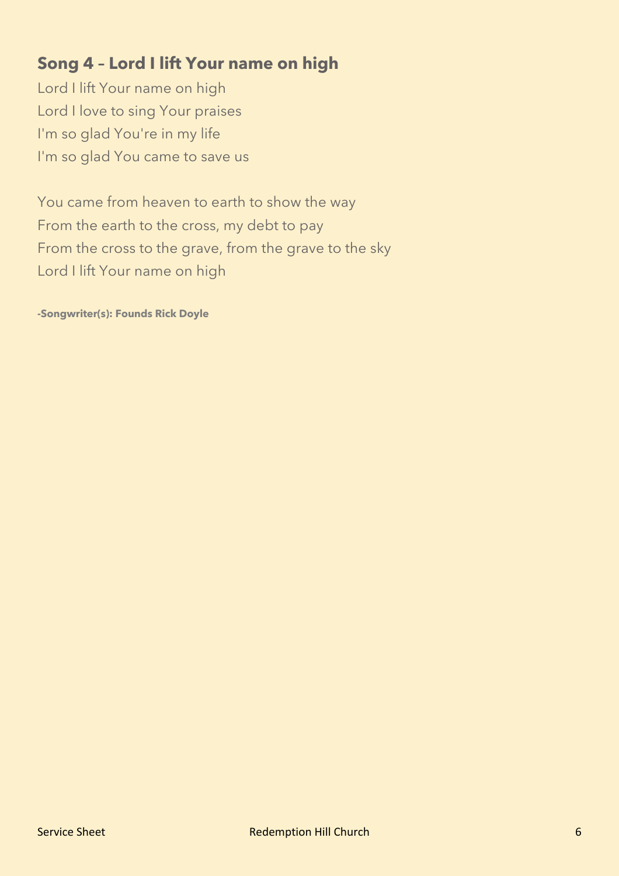# **Song 4 – Lord I lift Your name on high**

Lord I lift Your name on high Lord I love to sing Your praises I'm so glad You're in my life I'm so glad You came to save us

You came from heaven to earth to show the way From the earth to the cross, my debt to pay From the cross to the grave, from the grave to the sky Lord I lift Your name on high

**-Songwriter(s): Founds Rick Doyle**